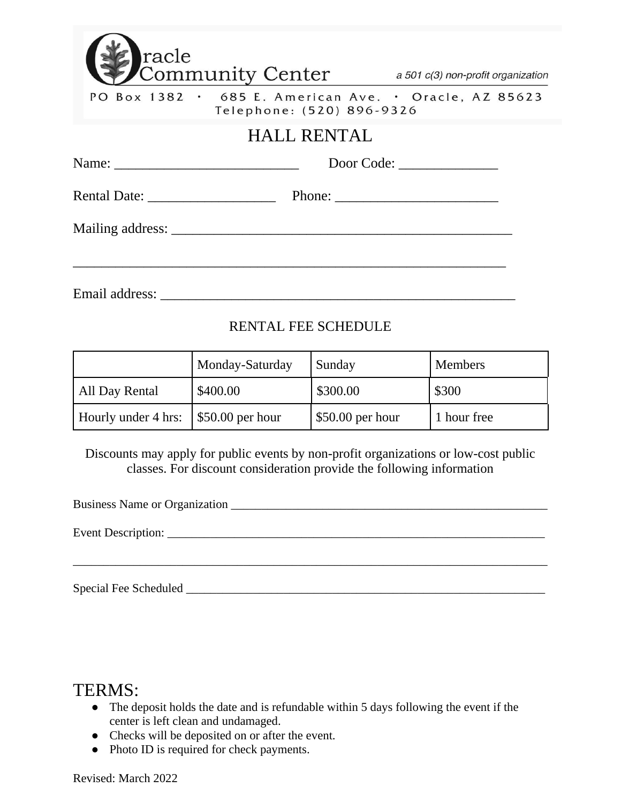| racle                                                    | Community Center a 501 c(3) non-profit organization                                                            |            |
|----------------------------------------------------------|----------------------------------------------------------------------------------------------------------------|------------|
|                                                          | PO Box 1382 • 685 E. American Ave. • Oracle, AZ 85623<br>Telephone: (520) 896-9326                             |            |
|                                                          | <b>HALL RENTAL</b>                                                                                             |            |
| Name: $\frac{1}{\sqrt{1-\frac{1}{2}} \cdot \frac{1}{2}}$ |                                                                                                                | Door Code: |
| Rental Date: New York 1988                               |                                                                                                                |            |
|                                                          | Mailing address: New York 2014 19:00 19:00 19:00 19:00 19:00 19:00 19:00 19:00 19:00 19:00 19:00 19:00 19:00 1 |            |
|                                                          |                                                                                                                |            |
| Email address:                                           |                                                                                                                |            |

## RENTAL FEE SCHEDULE

|                                            | Monday-Saturday | Sunday            | <b>Members</b> |
|--------------------------------------------|-----------------|-------------------|----------------|
| All Day Rental                             | \$400.00        | \$300.00          | \$300          |
| Hourly under 4 hrs: \ \ \ \$50.00 per hour |                 | $$50.00$ per hour | 1 hour free    |

Discounts may apply for public events by non-profit organizations or low-cost public classes. For discount consideration provide the following information

\_\_\_\_\_\_\_\_\_\_\_\_\_\_\_\_\_\_\_\_\_\_\_\_\_\_\_\_\_\_\_\_\_\_\_\_\_\_\_\_\_\_\_\_\_\_\_\_\_\_\_\_\_\_\_\_\_\_\_\_\_\_\_\_\_\_\_\_\_\_\_\_\_\_\_\_\_\_

Business Name or Organization \_\_\_\_\_\_\_\_\_\_\_\_\_\_\_\_\_\_\_\_\_\_\_\_\_\_\_\_\_\_\_\_\_\_\_\_\_\_\_\_\_\_\_\_\_\_\_\_\_\_\_\_

Event Description:

Special Fee Scheduled \_\_\_\_\_\_\_\_\_\_\_\_\_\_\_\_\_\_\_\_\_\_\_\_\_\_\_\_\_\_\_\_\_\_\_\_\_\_\_\_\_\_\_\_\_\_\_\_\_\_\_\_\_\_\_\_\_\_\_

# TERMS:

- The deposit holds the date and is refundable within 5 days following the event if the center is left clean and undamaged.
- Checks will be deposited on or after the event.
- Photo ID is required for check payments.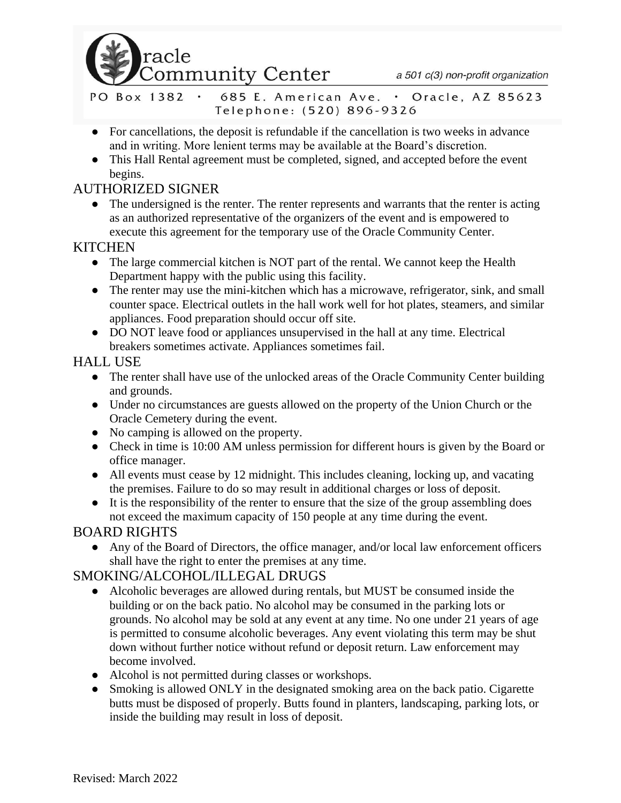

a 501 c(3) non-profit organization

- 685 E. American Ave. . Oracle, AZ 85623 PO Box 1382 . Telephone: (520) 896-9326
- For cancellations, the deposit is refundable if the cancellation is two weeks in advance and in writing. More lenient terms may be available at the Board's discretion.
- This Hall Rental agreement must be completed, signed, and accepted before the event begins.

## AUTHORIZED SIGNER

• The undersigned is the renter. The renter represents and warrants that the renter is acting as an authorized representative of the organizers of the event and is empowered to execute this agreement for the temporary use of the Oracle Community Center.

#### **KITCHEN**

- The large commercial kitchen is NOT part of the rental. We cannot keep the Health Department happy with the public using this facility.
- The renter may use the mini-kitchen which has a microwave, refrigerator, sink, and small counter space. Electrical outlets in the hall work well for hot plates, steamers, and similar appliances. Food preparation should occur off site.
- DO NOT leave food or appliances unsupervised in the hall at any time. Electrical breakers sometimes activate. Appliances sometimes fail.

## HALL USE

- The renter shall have use of the unlocked areas of the Oracle Community Center building and grounds.
- Under no circumstances are guests allowed on the property of the Union Church or the Oracle Cemetery during the event.
- No camping is allowed on the property.
- Check in time is 10:00 AM unless permission for different hours is given by the Board or office manager.
- All events must cease by 12 midnight. This includes cleaning, locking up, and vacating the premises. Failure to do so may result in additional charges or loss of deposit.
- It is the responsibility of the renter to ensure that the size of the group assembling does not exceed the maximum capacity of 150 people at any time during the event.

#### BOARD RIGHTS

● Any of the Board of Directors, the office manager, and/or local law enforcement officers shall have the right to enter the premises at any time.

## SMOKING/ALCOHOL/ILLEGAL DRUGS

- Alcoholic beverages are allowed during rentals, but MUST be consumed inside the building or on the back patio. No alcohol may be consumed in the parking lots or grounds. No alcohol may be sold at any event at any time. No one under 21 years of age is permitted to consume alcoholic beverages. Any event violating this term may be shut down without further notice without refund or deposit return. Law enforcement may become involved.
- Alcohol is not permitted during classes or workshops.
- Smoking is allowed ONLY in the designated smoking area on the back patio. Cigarette butts must be disposed of properly. Butts found in planters, landscaping, parking lots, or inside the building may result in loss of deposit.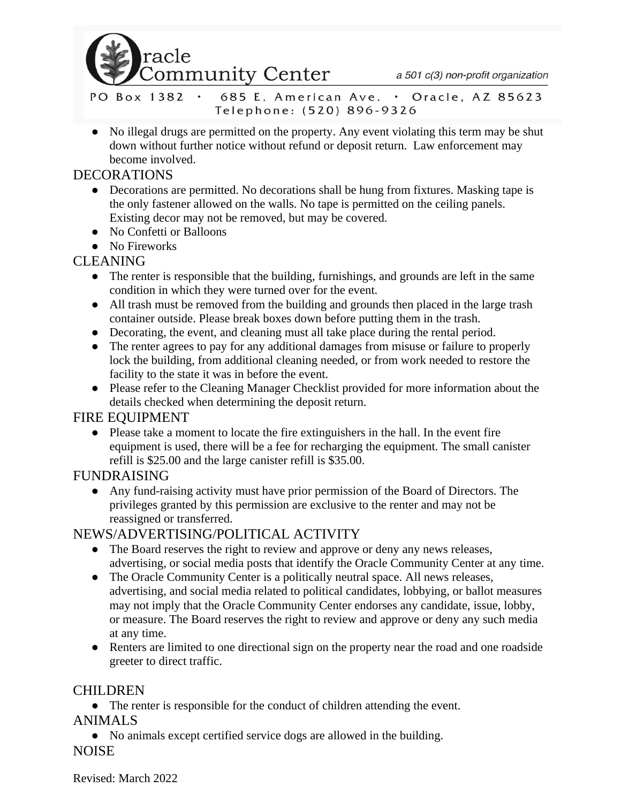

a 501 c(3) non-profit organization

PO Box 1382 . 685 E. American Ave. . Oracle, AZ 85623 Telephone: (520) 896-9326

• No illegal drugs are permitted on the property. Any event violating this term may be shut down without further notice without refund or deposit return. Law enforcement may become involved.

#### DECORATIONS

- Decorations are permitted. No decorations shall be hung from fixtures. Masking tape is the only fastener allowed on the walls. No tape is permitted on the ceiling panels. Existing decor may not be removed, but may be covered.
- No Confetti or Balloons
- No Fireworks

## CLEANING

- The renter is responsible that the building, furnishings, and grounds are left in the same condition in which they were turned over for the event.
- All trash must be removed from the building and grounds then placed in the large trash container outside. Please break boxes down before putting them in the trash.
- Decorating, the event, and cleaning must all take place during the rental period.
- The renter agrees to pay for any additional damages from misuse or failure to properly lock the building, from additional cleaning needed, or from work needed to restore the facility to the state it was in before the event.
- Please refer to the Cleaning Manager Checklist provided for more information about the details checked when determining the deposit return.

## FIRE EQUIPMENT

● Please take a moment to locate the fire extinguishers in the hall. In the event fire equipment is used, there will be a fee for recharging the equipment. The small canister refill is \$25.00 and the large canister refill is \$35.00.

## FUNDRAISING

● Any fund-raising activity must have prior permission of the Board of Directors. The privileges granted by this permission are exclusive to the renter and may not be reassigned or transferred.

## NEWS/ADVERTISING/POLITICAL ACTIVITY

- The Board reserves the right to review and approve or deny any news releases, advertising, or social media posts that identify the Oracle Community Center at any time.
- The Oracle Community Center is a politically neutral space. All news releases, advertising, and social media related to political candidates, lobbying, or ballot measures may not imply that the Oracle Community Center endorses any candidate, issue, lobby, or measure. The Board reserves the right to review and approve or deny any such media at any time.
- Renters are limited to one directional sign on the property near the road and one roadside greeter to direct traffic.

## CHILDREN

● The renter is responsible for the conduct of children attending the event.

## ANIMALS

● No animals except certified service dogs are allowed in the building.

#### NOISE